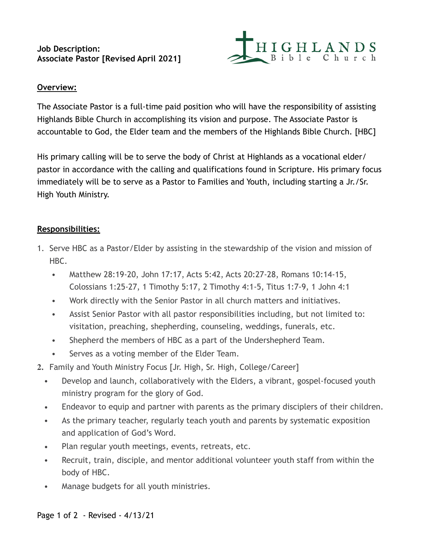# **Job Description: Associate Pastor [Revised April 2021]**



# **Overview:**

The Associate Pastor is a full-time paid position who will have the responsibility of assisting Highlands Bible Church in accomplishing its vision and purpose. The Associate Pastor is accountable to God, the Elder team and the members of the Highlands Bible Church. [HBC]

His primary calling will be to serve the body of Christ at Highlands as a vocational elder/ pastor in accordance with the calling and qualifications found in Scripture. His primary focus immediately will be to serve as a Pastor to Families and Youth, including starting a Jr./Sr. High Youth Ministry.

# **Responsibilities:**

- 1. Serve HBC as a Pastor/Elder by assisting in the stewardship of the vision and mission of HBC.
	- **•** Matthew 28:19-20, John 17:17, Acts 5:42, Acts 20:27-28, Romans 10:14-15, Colossians 1:25-27, 1 Timothy 5:17, 2 Timothy 4:1-5, Titus 1:7-9, 1 John 4:1
	- **•** Work directly with the Senior Pastor in all church matters and initiatives.
	- **•** Assist Senior Pastor with all pastor responsibilities including, but not limited to: visitation, preaching, shepherding, counseling, weddings, funerals, etc.
	- **•** Shepherd the members of HBC as a part of the Undershepherd Team.
	- **•** Serves as a voting member of the Elder Team.
- **2.** Family and Youth Ministry Focus [Jr. High, Sr. High, College/Career]
	- **•** Develop and launch, collaboratively with the Elders, a vibrant, gospel-focused youth ministry program for the glory of God.
	- **•** Endeavor to equip and partner with parents as the primary disciplers of their children.
	- **•** As the primary teacher, regularly teach youth and parents by systematic exposition and application of God's Word.
	- **•** Plan regular youth meetings, events, retreats, etc.
	- **•** Recruit, train, disciple, and mentor additional volunteer youth staff from within the body of HBC.
	- **•** Manage budgets for all youth ministries.